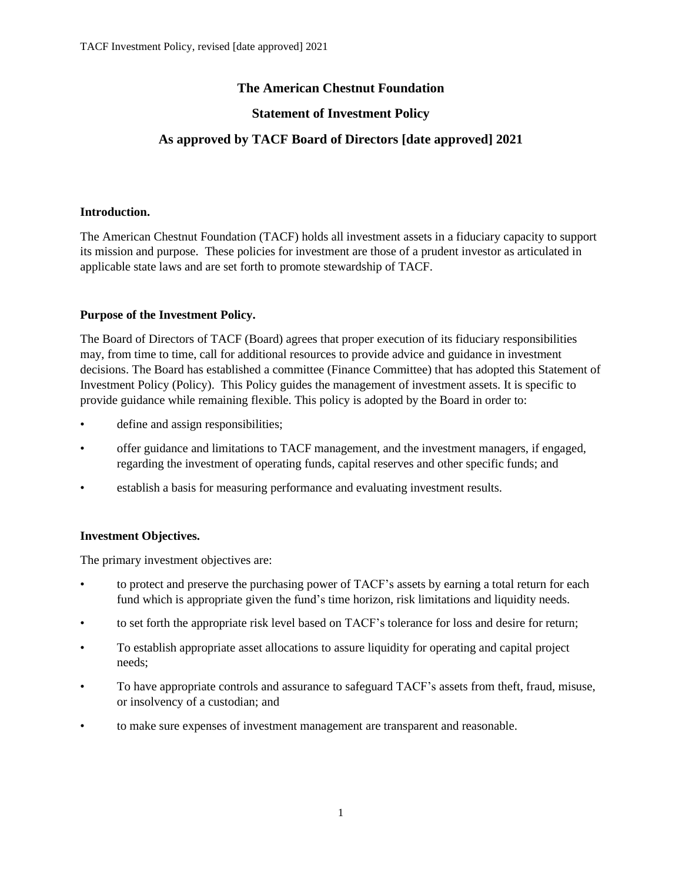# **The American Chestnut Foundation**

## **Statement of Investment Policy**

# **As approved by TACF Board of Directors [date approved] 2021**

### **Introduction.**

The American Chestnut Foundation (TACF) holds all investment assets in a fiduciary capacity to support its mission and purpose. These policies for investment are those of a prudent investor as articulated in applicable state laws and are set forth to promote stewardship of TACF.

### **Purpose of the Investment Policy.**

The Board of Directors of TACF (Board) agrees that proper execution of its fiduciary responsibilities may, from time to time, call for additional resources to provide advice and guidance in investment decisions. The Board has established a committee (Finance Committee) that has adopted this Statement of Investment Policy (Policy). This Policy guides the management of investment assets. It is specific to provide guidance while remaining flexible. This policy is adopted by the Board in order to:

- define and assign responsibilities;
- offer guidance and limitations to TACF management, and the investment managers, if engaged, regarding the investment of operating funds, capital reserves and other specific funds; and
- establish a basis for measuring performance and evaluating investment results.

### **Investment Objectives.**

The primary investment objectives are:

- to protect and preserve the purchasing power of TACF's assets by earning a total return for each fund which is appropriate given the fund's time horizon, risk limitations and liquidity needs.
- to set forth the appropriate risk level based on TACF's tolerance for loss and desire for return;
- To establish appropriate asset allocations to assure liquidity for operating and capital project needs;
- To have appropriate controls and assurance to safeguard TACF's assets from theft, fraud, misuse, or insolvency of a custodian; and
- to make sure expenses of investment management are transparent and reasonable.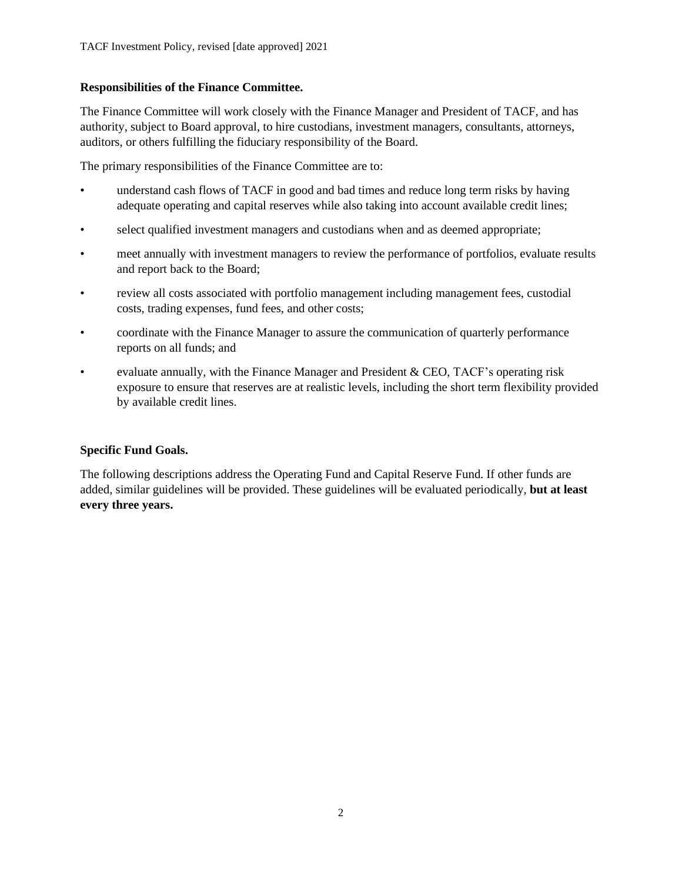### **Responsibilities of the Finance Committee.**

The Finance Committee will work closely with the Finance Manager and President of TACF, and has authority, subject to Board approval, to hire custodians, investment managers, consultants, attorneys, auditors, or others fulfilling the fiduciary responsibility of the Board.

The primary responsibilities of the Finance Committee are to:

- understand cash flows of TACF in good and bad times and reduce long term risks by having adequate operating and capital reserves while also taking into account available credit lines;
- select qualified investment managers and custodians when and as deemed appropriate;
- meet annually with investment managers to review the performance of portfolios, evaluate results and report back to the Board;
- review all costs associated with portfolio management including management fees, custodial costs, trading expenses, fund fees, and other costs;
- coordinate with the Finance Manager to assure the communication of quarterly performance reports on all funds; and
- evaluate annually, with the Finance Manager and President & CEO, TACF's operating risk exposure to ensure that reserves are at realistic levels, including the short term flexibility provided by available credit lines.

## **Specific Fund Goals.**

The following descriptions address the Operating Fund and Capital Reserve Fund. If other funds are added, similar guidelines will be provided. These guidelines will be evaluated periodically, **but at least every three years.**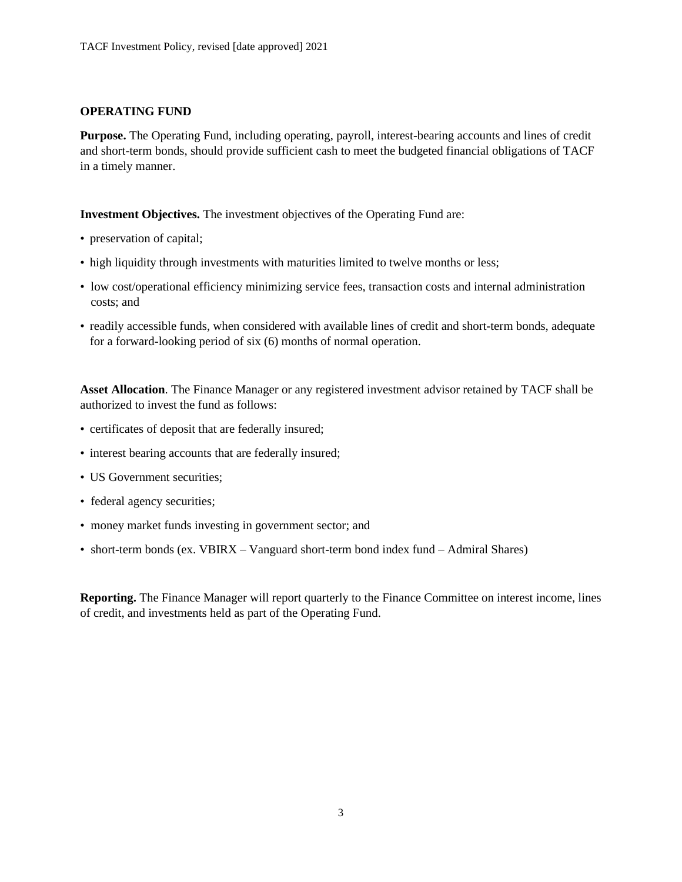### **OPERATING FUND**

**Purpose.** The Operating Fund, including operating, payroll, interest-bearing accounts and lines of credit and short-term bonds, should provide sufficient cash to meet the budgeted financial obligations of TACF in a timely manner.

**Investment Objectives.** The investment objectives of the Operating Fund are:

- preservation of capital;
- high liquidity through investments with maturities limited to twelve months or less;
- low cost/operational efficiency minimizing service fees, transaction costs and internal administration costs; and
- readily accessible funds, when considered with available lines of credit and short-term bonds, adequate for a forward-looking period of six (6) months of normal operation.

**Asset Allocation**. The Finance Manager or any registered investment advisor retained by TACF shall be authorized to invest the fund as follows:

- certificates of deposit that are federally insured;
- interest bearing accounts that are federally insured;
- US Government securities;
- federal agency securities;
- money market funds investing in government sector; and
- short-term bonds (ex. VBIRX Vanguard short-term bond index fund Admiral Shares)

**Reporting.** The Finance Manager will report quarterly to the Finance Committee on interest income, lines of credit, and investments held as part of the Operating Fund.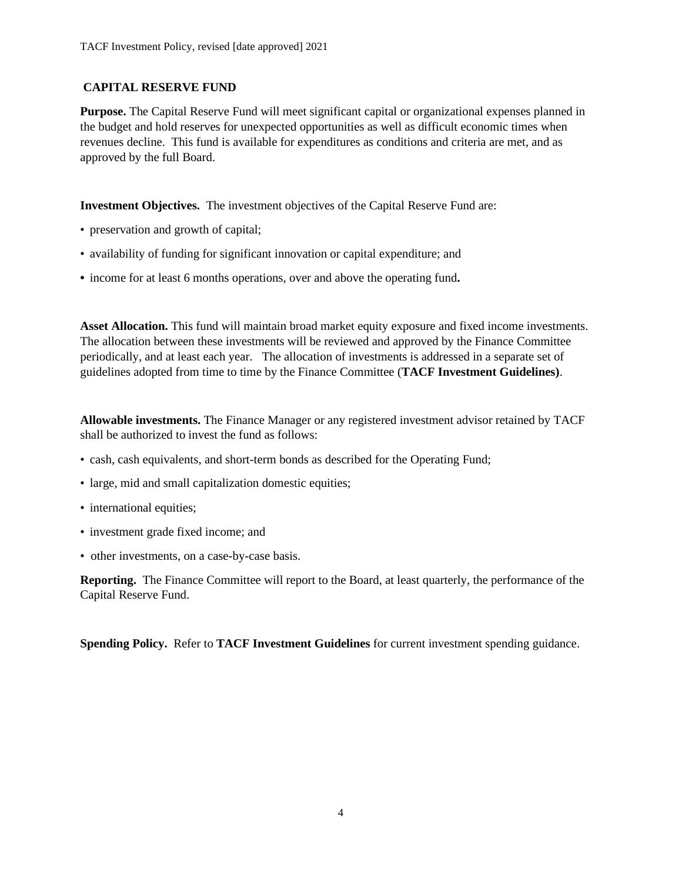### **CAPITAL RESERVE FUND**

**Purpose.** The Capital Reserve Fund will meet significant capital or organizational expenses planned in the budget and hold reserves for unexpected opportunities as well as difficult economic times when revenues decline. This fund is available for expenditures as conditions and criteria are met, and as approved by the full Board.

**Investment Objectives.** The investment objectives of the Capital Reserve Fund are:

- preservation and growth of capital;
- availability of funding for significant innovation or capital expenditure; and
- **•** income for at least 6 months operations, over and above the operating fund**.**

**Asset Allocation.** This fund will maintain broad market equity exposure and fixed income investments. The allocation between these investments will be reviewed and approved by the Finance Committee periodically, and at least each year. The allocation of investments is addressed in a separate set of guidelines adopted from time to time by the Finance Committee (**TACF Investment Guidelines)**.

**Allowable investments.** The Finance Manager or any registered investment advisor retained by TACF shall be authorized to invest the fund as follows:

- cash, cash equivalents, and short-term bonds as described for the Operating Fund;
- large, mid and small capitalization domestic equities;
- international equities;
- investment grade fixed income; and
- other investments, on a case-by-case basis.

**Reporting.** The Finance Committee will report to the Board, at least quarterly, the performance of the Capital Reserve Fund.

**Spending Policy.** Refer to **TACF Investment Guidelines** for current investment spending guidance.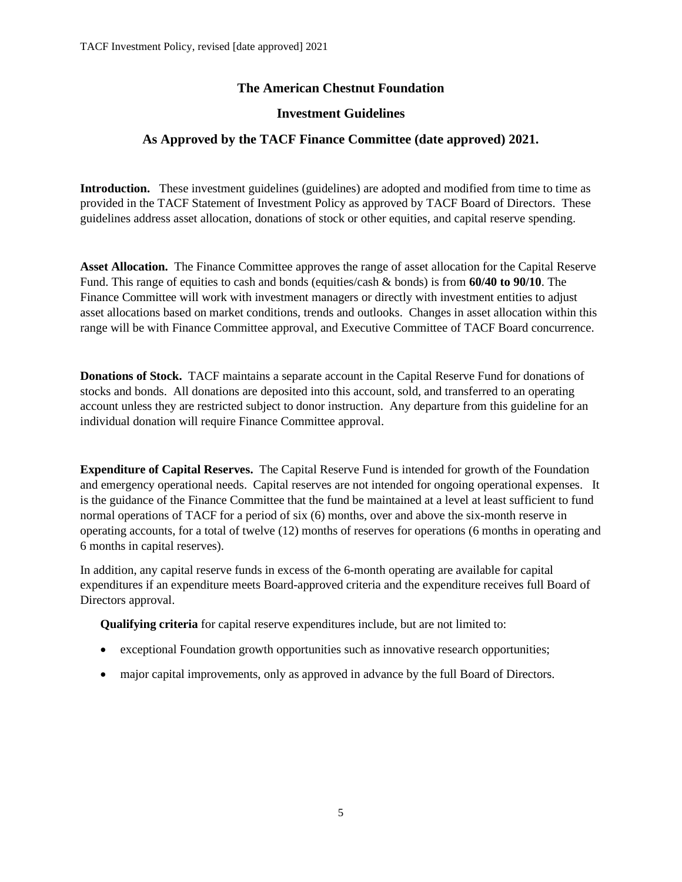## **The American Chestnut Foundation**

### **Investment Guidelines**

## **As Approved by the TACF Finance Committee (date approved) 2021.**

**Introduction.** These investment guidelines (guidelines) are adopted and modified from time to time as provided in the TACF Statement of Investment Policy as approved by TACF Board of Directors. These guidelines address asset allocation, donations of stock or other equities, and capital reserve spending.

**Asset Allocation.** The Finance Committee approves the range of asset allocation for the Capital Reserve Fund. This range of equities to cash and bonds (equities/cash & bonds) is from **60/40 to 90/10**. The Finance Committee will work with investment managers or directly with investment entities to adjust asset allocations based on market conditions, trends and outlooks. Changes in asset allocation within this range will be with Finance Committee approval, and Executive Committee of TACF Board concurrence.

**Donations of Stock.** TACF maintains a separate account in the Capital Reserve Fund for donations of stocks and bonds. All donations are deposited into this account, sold, and transferred to an operating account unless they are restricted subject to donor instruction. Any departure from this guideline for an individual donation will require Finance Committee approval.

**Expenditure of Capital Reserves.** The Capital Reserve Fund is intended for growth of the Foundation and emergency operational needs. Capital reserves are not intended for ongoing operational expenses. It is the guidance of the Finance Committee that the fund be maintained at a level at least sufficient to fund normal operations of TACF for a period of six (6) months, over and above the six-month reserve in operating accounts, for a total of twelve (12) months of reserves for operations (6 months in operating and 6 months in capital reserves).

In addition, any capital reserve funds in excess of the 6-month operating are available for capital expenditures if an expenditure meets Board-approved criteria and the expenditure receives full Board of Directors approval.

**Qualifying criteria** for capital reserve expenditures include, but are not limited to:

- exceptional Foundation growth opportunities such as innovative research opportunities;
- major capital improvements, only as approved in advance by the full Board of Directors.